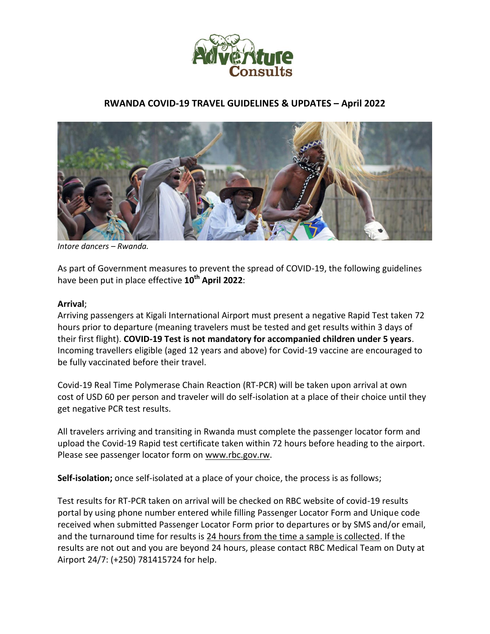

# **RWANDA COVID-19 TRAVEL GUIDELINES & UPDATES – April 2022**



*Intore dancers – Rwanda.*

As part of Government measures to prevent the spread of COVID-19, the following guidelines have been put in place effective **10th April 2022**:

#### **Arrival**;

Arriving passengers at Kigali International Airport must present a negative Rapid Test taken 72 hours prior to departure (meaning travelers must be tested and get results within 3 days of their first flight). **COVID-19 Test is not mandatory for accompanied children under 5 years**. Incoming travellers eligible (aged 12 years and above) for Covid-19 vaccine are encouraged to be fully vaccinated before their travel.

Covid-19 Real Time Polymerase Chain Reaction (RT-PCR) will be taken upon arrival at own cost of USD 60 per person and traveler will do self-isolation at a place of their choice until they get negative PCR test results.

All travelers arriving and transiting in Rwanda must complete the passenger locator form and upload the Covid-19 Rapid test certificate taken within 72 hours before heading to the airport. Please see passenger locator form on www.rbc.gov.rw.

**Self-isolation;** once self-isolated at a place of your choice, the process is as follows;

Test results for RT-PCR taken on arrival will be checked on RBC website of covid-19 results portal by using phone number entered while filling Passenger Locator Form and Unique code received when submitted Passenger Locator Form prior to departures or by SMS and/or email, and the turnaround time for results is 24 hours from the time a sample is collected. If the results are not out and you are beyond 24 hours, please contact RBC Medical Team on Duty at Airport 24/7: (+250) 781415724 for help.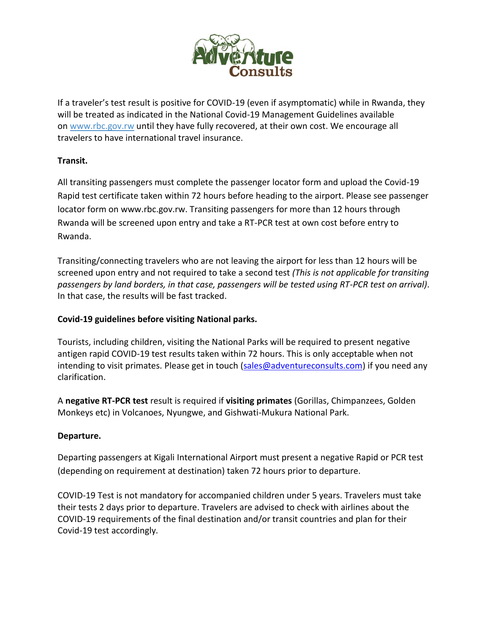

If a traveler's test result is positive for COVID-19 (even if asymptomatic) while in Rwanda, they will be treated as indicated in the National Covid-19 Management Guidelines available on www.rbc.gov.rw until they have fully recovered, at their own cost. We encourage all travelers to have international travel insurance.

# **Transit.**

All transiting passengers must complete the passenger locator form and upload the Covid-19 Rapid test certificate taken within 72 hours before heading to the airport. Please see passenger locator form on www.rbc.gov.rw. Transiting passengers for more than 12 hours through Rwanda will be screened upon entry and take a RT-PCR test at own cost before entry to Rwanda.

Transiting/connecting travelers who are not leaving the airport for less than 12 hours will be screened upon entry and not required to take a second test *(This is not applicable for transiting passengers by land borders, in that case, passengers will be tested using RT-PCR test on arrival)*. In that case, the results will be fast tracked.

## **Covid-19 guidelines before visiting National parks.**

Tourists, including children, visiting the National Parks will be required to present negative antigen rapid COVID-19 test results taken within 72 hours. This is only acceptable when not intending to visit primates. Please get in touch (sales@adventureconsults.com) if you need any clarification.

A **negative RT-PCR test** result is required if **visiting primates** (Gorillas, Chimpanzees, Golden Monkeys etc) in Volcanoes, Nyungwe, and Gishwati-Mukura National Park.

## **Departure.**

Departing passengers at Kigali International Airport must present a negative Rapid or PCR test (depending on requirement at destination) taken 72 hours prior to departure.

COVID-19 Test is not mandatory for accompanied children under 5 years. Travelers must take their tests 2 days prior to departure. Travelers are advised to check with airlines about the COVID-19 requirements of the final destination and/or transit countries and plan for their Covid-19 test accordingly.